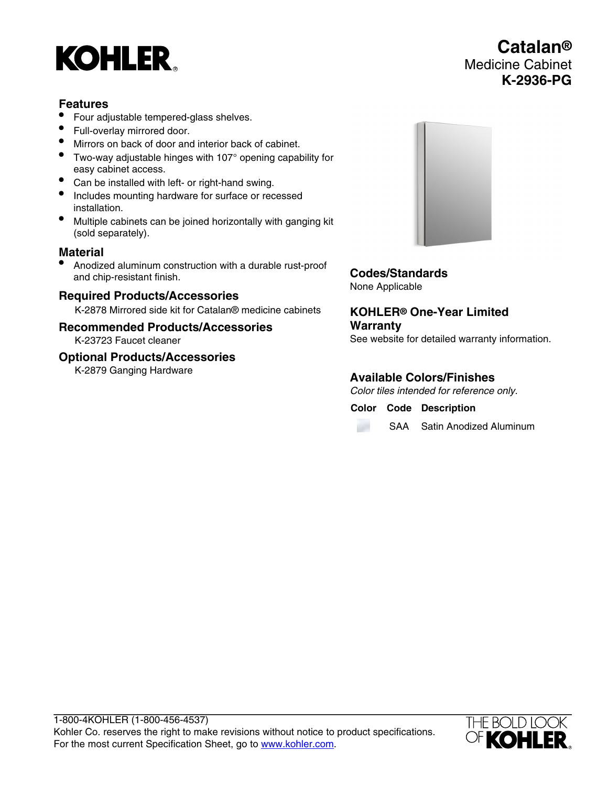# **KOHLER**

## **Features**

- Four adjustable tempered-glass shelves.
- Full-overlay mirrored door.
- Mirrors on back of door and interior back of cabinet.
- Two-way adjustable hinges with 107° opening capability for easy cabinet access.
- Can be installed with left- or right-hand swing.
- Includes mounting hardware for surface or recessed installation.
- Multiple cabinets can be joined horizontally with ganging kit (sold separately).

## **Material**

• Anodized aluminum construction with a durable rust-proof and chip-resistant finish.

## **Required Products/Accessories**

K-2878 Mirrored side kit for Catalan® medicine cabinets

## **Recommended Products/Accessories**

K-23723 Faucet cleaner

## **Optional Products/Accessories**

K-2879 Ganging Hardware



**Codes/Standards** None Applicable

**KOHLER® One-Year Limited Warranty** See website for detailed warranty information.

## **Available Colors/Finishes**

Color tiles intended for reference only.

**Color Code Description**

SAA Satin Anodized Aluminum



**Catalan®** Medicine Cabinet **K-2936-PG**